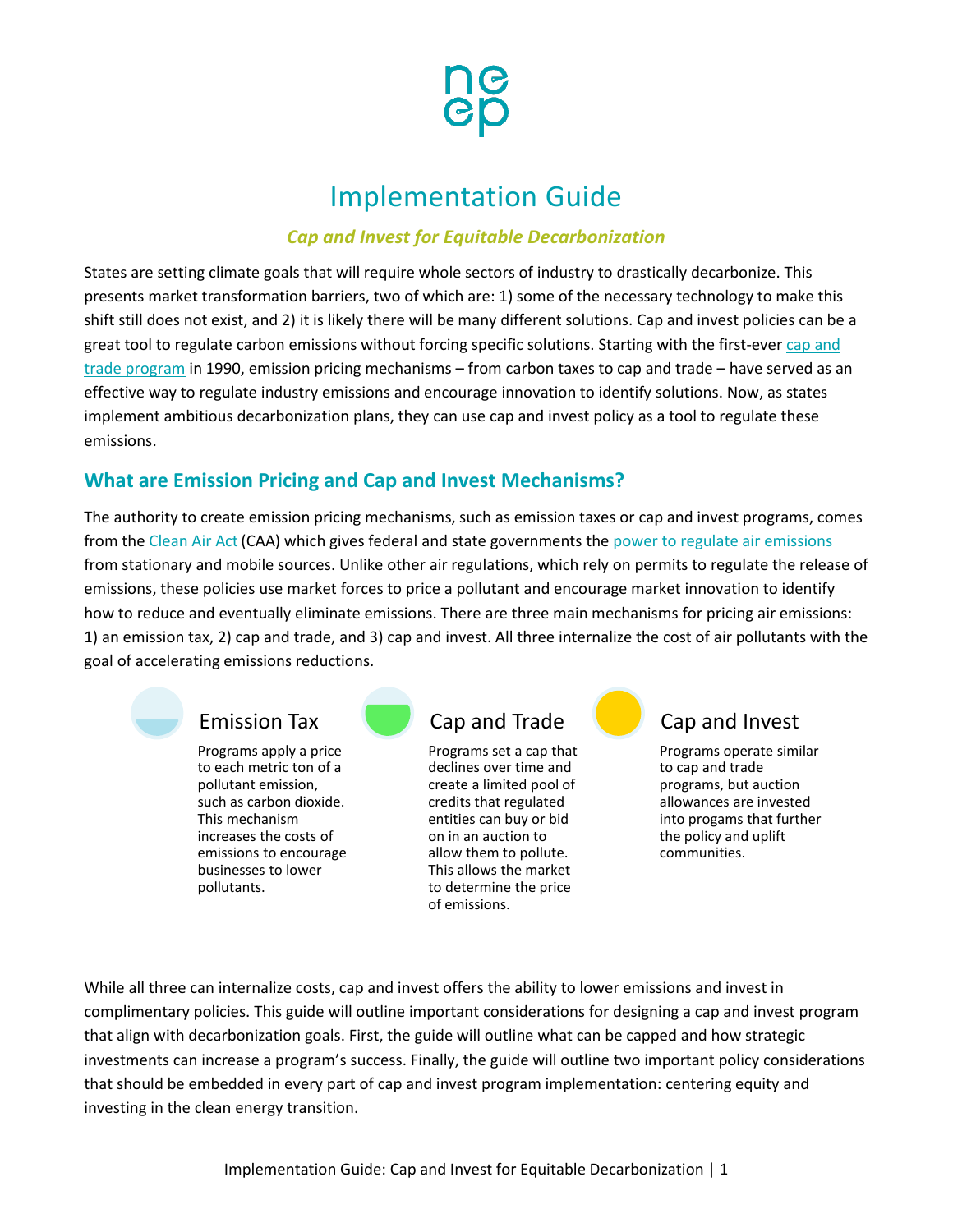

# Implementation Guide

#### *Cap and Invest for Equitable Decarbonization*

States are setting climate goals that will require whole sectors of industry to drastically decarbonize. This presents market transformation barriers, two of which are: 1) some of the necessary technology to make this shift still does not exist, and 2) it is likely there will be many different solutions. Cap and invest policies can be a great tool to regulate carbon emissions without forcing specific solutions. Starting with the first-ever [cap and](https://media.rff.org/documents/Issue_Brief_EPAs_Acid_Rain_Program.pdf)  [trade program](https://media.rff.org/documents/Issue_Brief_EPAs_Acid_Rain_Program.pdf) in 1990, emission pricing mechanisms – from carbon taxes to cap and trade – have served as an effective way to regulate industry emissions and encourage innovation to identify solutions. Now, as states implement ambitious decarbonization plans, they can use cap and invest policy as a tool to regulate these emissions.

### **What are Emission Pricing and Cap and Invest Mechanisms?**

The authority to create emission pricing mechanisms, such as emission taxes or cap and invest programs, comes from the Clean Air Act (CAA) which gives federal and state governments the [power to regulate air emissions](https://www.ucsusa.org/resources/clean-air-act) from stationary and mobile sources. Unlike other air regulations, which rely on permits to regulate the release of emissions, these policies use market forces to price a pollutant and encourage market innovation to identify how to reduce and eventually eliminate emissions. There are three main mechanisms for pricing air emissions: 1) an emission tax, 2) cap and trade, and 3) cap and invest. All three internalize the cost of air pollutants with the goal of accelerating emissions reductions.

## Emission Tax

Programs apply a price to each metric ton of a pollutant emission, such as carbon dioxide. This mechanism increases the costs of emissions to encourage businesses to lower pollutants.



## Cap and Trade

Programs set a cap that declines over time and create a limited pool of credits that regulated entities can buy or bid on in an auction to allow them to pollute. This allows the market to determine the price of emissions.



## Cap and Invest

Programs operate similar to cap and trade programs, but auction allowances are invested into progams that further the policy and uplift communities.

While all three can internalize costs, cap and invest offers the ability to lower emissions and invest in complimentary policies. This guide will outline important considerations for designing a cap and invest program that align with decarbonization goals. First, the guide will outline what can be capped and how strategic investments can increase a program's success. Finally, the guide will outline two important policy considerations that should be embedded in every part of cap and invest program implementation: centering equity and investing in the clean energy transition.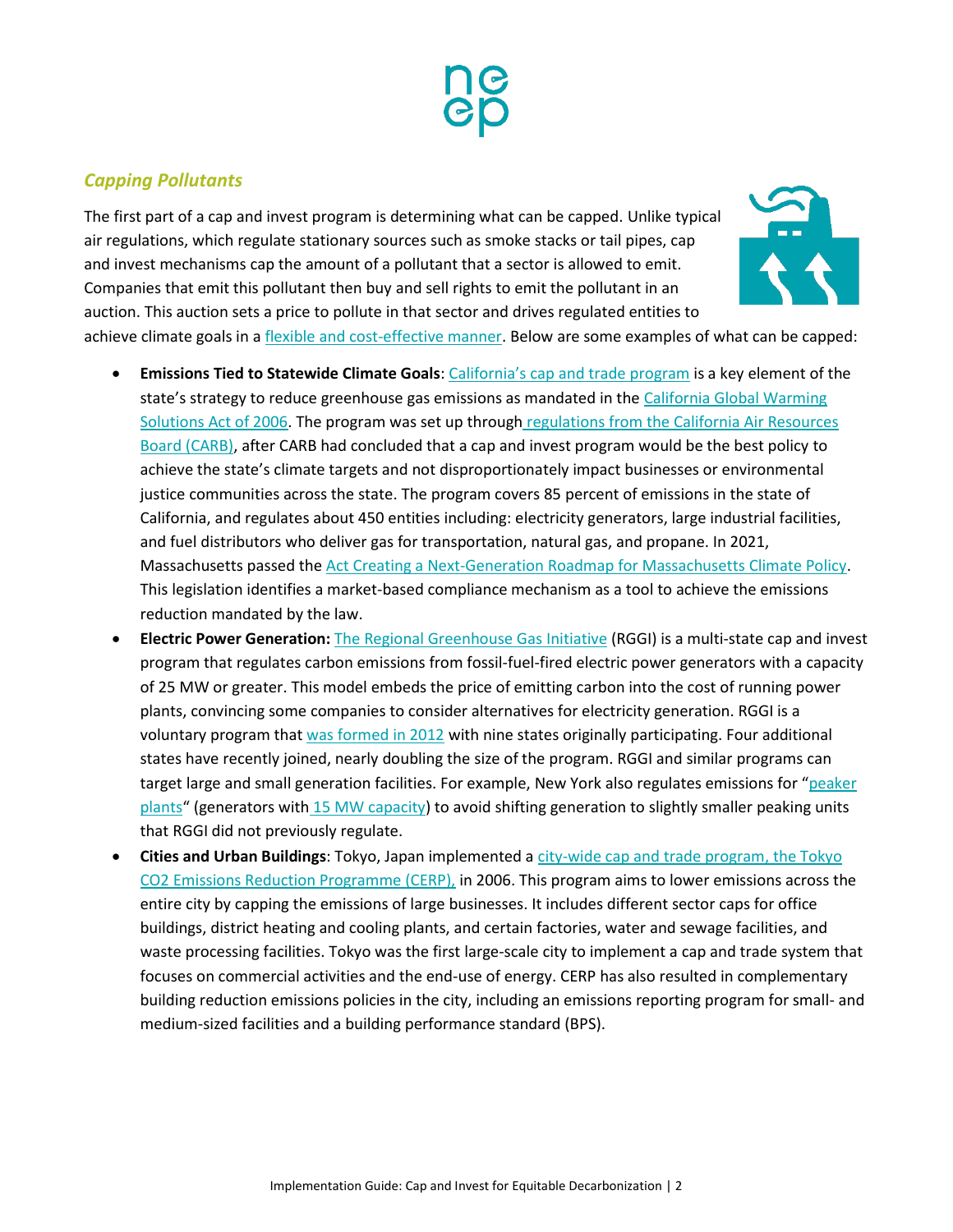#### *Capping Pollutants*

The first part of a cap and invest program is determining what can be capped. Unlike typical air regulations, which regulate stationary sources such as smoke stacks or tail pipes, cap and invest mechanisms cap the amount of a pollutant that a sector is allowed to emit. Companies that emit this pollutant then buy and sell rights to emit the pollutant in an auction. This auction sets a price to pollute in that sector and drives regulated entities to



achieve climate goals in a [flexible and cost-effective manner.](https://wci-inc.org/our-work/approach) Below are some examples of what can be capped:

- **Emissions Tied to Statewide Climate Goals**: [California's cap and trade](https://ww2.arb.ca.gov/our-work/programs/cap-and-trade-program) program is a key element of the state's strategy to reduce greenhouse gas emissions as mandated in the [California Global Warming](https://ww2.arb.ca.gov/resources/fact-sheets/ab-32-global-warming-solutions-act-2006)  [Solutions Act of 2006.](https://ww2.arb.ca.gov/resources/fact-sheets/ab-32-global-warming-solutions-act-2006) The program was set up through regulations from the California Air Resources [Board \(CARB\),](https://ww2.arb.ca.gov/resources/documents/faq-cap-and-trade-program) after CARB had concluded that a cap and invest program would be the best policy to achieve the state's climate targets and not disproportionately impact businesses or environmental justice communities across the state. The program covers 85 percent of emissions in the state of California, and regulates about 450 entities including: electricity generators, large industrial facilities, and fuel distributors who deliver gas for transportation, natural gas, and propane. In 2021, Massachusetts passed the Act [Creating a Next-Generation Roadmap for Massachusetts Climate Policy.](https://neep.org/sites/default/files/media-files/s9_onepager.pdf) This legislation identifies a market-based compliance mechanism as a tool to achieve the emissions reduction mandated by the law.
- **Electric Power Generation:** [The Regional Greenhouse Gas Initiative](https://www.rggi.org/program-overview-and-design/elements) (RGGI) is a multi-state cap and invest program that regulates carbon emissions from fossil-fuel-fired electric power generators with a capacity of 25 MW or greater. This model embeds the price of emitting carbon into the cost of running power plants, convincing some companies to consider alternatives for electricity generation. RGGI is a voluntary program that [was formed in 2012](https://www.rggi.org/program-overview-and-design/elements) with nine states originally participating. Four additional states have recently joined, nearly doubling the size of the program. RGGI and similar programs can target large and small generation facilities. For example, New York also regulates emissions for "peaker plants" (generators with [15 MW capacity\)](https://www.dec.ny.gov/regulations/120211.html) to avoid shifting generation to slightly smaller peaking units that RGGI did not previously regulate.
- **Cities and Urban Buildings**: Tokyo, Japan implemented [a city-wide cap and trade program,](https://www.edf.org/sites/default/files/tokyo-case-study-may2015.pdf) the Tokyo CO2 Emissions Reduction Programme (CERP), in 2006. This program aims to lower emissions across the entire city by capping the emissions of large businesses. It includes different sector caps for office buildings, district heating and cooling plants, and certain factories, water and sewage facilities, and waste processing facilities. Tokyo was the first large-scale city to implement a cap and trade system that focuses on commercial activities and the end-use of energy. CERP has also resulted in complementary building reduction emissions policies in the city, including an emissions reporting program for small- and medium-sized facilities and a building performance standard (BPS).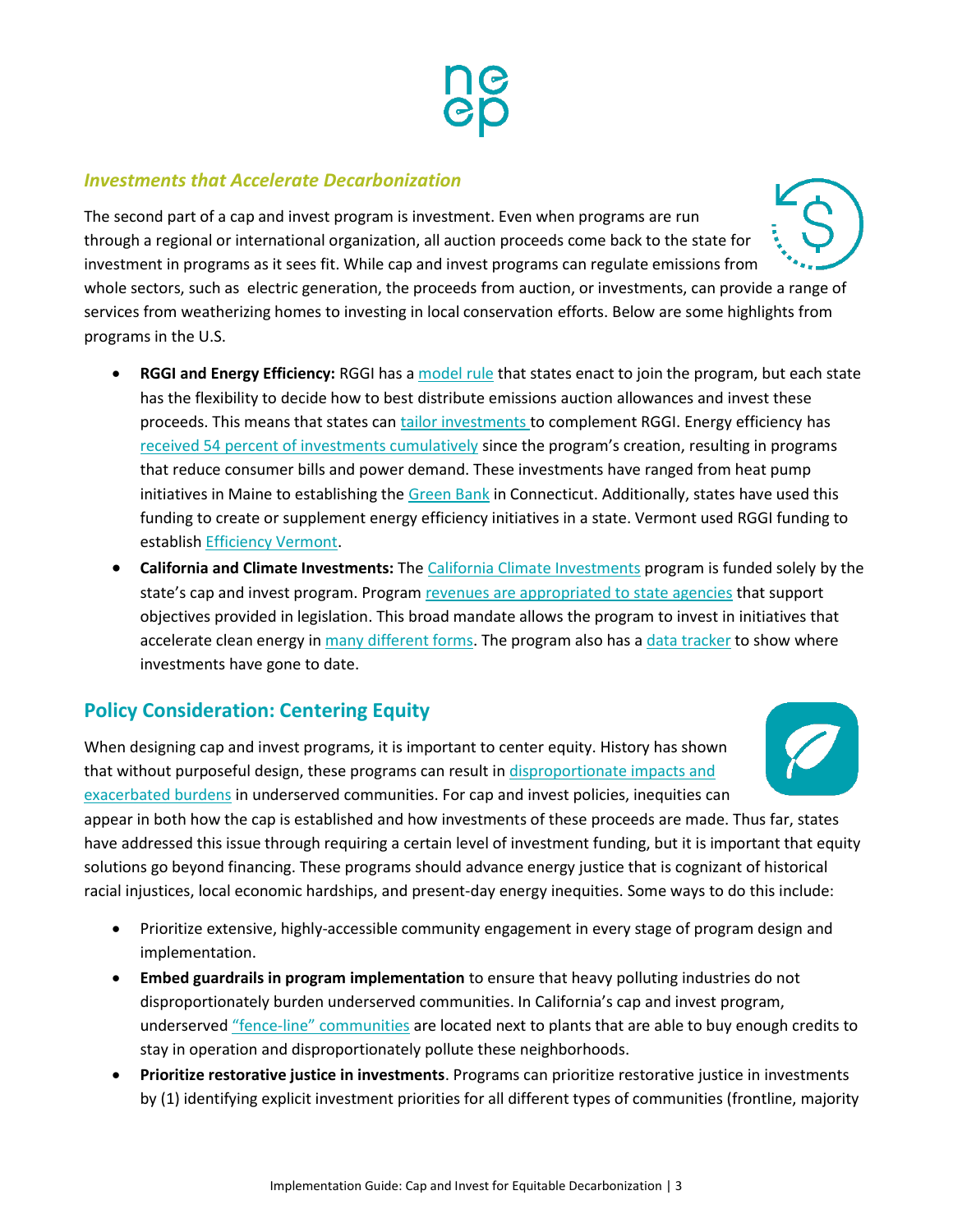#### *Investments that Accelerate Decarbonization*

The second part of a cap and invest program is investment. Even when programs are run through a regional or international organization, all auction proceeds come back to the state for investment in programs as it sees fit. While cap and invest programs can regulate emissions from whole sectors, such as electric generation, the proceeds from auction, or investments, can provide a range of services from weatherizing homes to investing in local conservation efforts. Below are some highlights from programs in the U.S.

- **RGGI and Energy Efficiency:** RGGI has a [model rule](https://www.rggi.org/program-overview-and-design/design-archive/mou-model-rule) that states enact to join the program, but each state has the flexibility to decide how to best distribute emissions auction allowances and invest these proceeds. This means that states can [tailor investments t](https://www.edf.org/sites/default/files/documents/North%20Carolina_RGGI_EDF.pdf)o complement RGGI. Energy efficiency has [received 54 percent of investments cumulatively](https://www.rggi.org/sites/default/files/Uploads/Proceeds/RGGI_Proceeds_Report_2019.pdf) since the program's creation, resulting in programs that reduce consumer bills and power demand. These investments have ranged from heat pump initiatives in Maine to establishing the [Green Bank](https://www.ctgreenbank.com/) in Connecticut. Additionally, states have used this funding to create or supplement energy efficiency initiatives in a state. Vermont used RGGI funding to establish [Efficiency Vermont.](https://www.efficiencyvermont.com/)
- **California and Climate Investments:** Th[e California Climate Investments](https://ww2.arb.ca.gov/our-work/programs/california-climate-investments) program is funded solely by the state's cap and invest program. Program revenues [are appropriated to state agencies](https://legislature.vermont.gov/Documents/2020/WorkGroups/House%20Transportation/TCI/W~Karen%20Glitman~Cap%20and%20Invest%20Report~2-13-2020.pdf) that support objectives provided in legislation. This broad mandate allows the program to invest in initiatives that accelerate clean energy in [many different forms.](https://www.caclimateinvestments.ca.gov/profiles-by-year) The program also has [a data tracker](https://www.caclimateinvestments.ca.gov/cci-data-dashboard) to show where investments have gone to date.

## **Policy Consideration: Centering Equity**

When designing cap and invest programs, it is important to center equity. History has shown that without purposeful design, these programs can result in [disproportionate impacts and](https://grist.org/article/how-california-can-make-its-cap-and-trade-program-more-equitable/) [exacerbated](https://grist.org/article/how-california-can-make-its-cap-and-trade-program-more-equitable/) burdens in underserved communities. For cap and invest policies, inequities can

appear in both how the cap is established and how investments of these proceeds are made. Thus far, states have addressed this issue through requiring a certain level of investment funding, but it is important that equity solutions go beyond financing. These programs should advance energy justice that is cognizant of historical racial injustices, local economic hardships, and present-day energy inequities. Some ways to do this include:

- Prioritize extensive, highly-accessible community engagement in every stage of program design and implementation.
- **Embed guardrails in program implementation** to ensure that heavy polluting industries do not disproportionately burden underserved communities. In California's cap and invest program, underserved "fence-line" [communities](https://grist.org/article/how-california-can-make-its-cap-and-trade-program-more-equitable/) are located next to plants that are able to buy enough credits to stay in operation and disproportionately pollute these neighborhoods.
- **Prioritize restorative justice in investments**. Programs can prioritize restorative justice in investments by (1) identifying explicit investment priorities for all different types of communities (frontline, majority